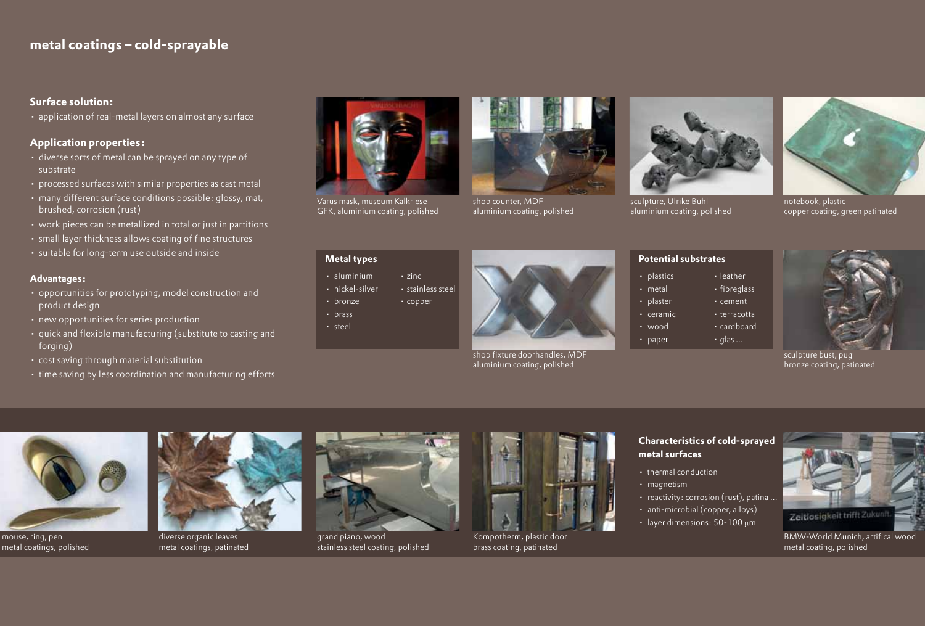# **metal coatings ‒ cold-sprayable**

#### **Surface solution:**

• application of real-metal layers on almost any surface

#### **Application properties:**

- diverse sorts of metal can be sprayed on any type of substrate
- • processed surfaces with similar properties as cast metal
- many different surface conditions possible: glossy, mat, brushed, corrosion (rust)
- work pieces can be metallized in total or just in partitions
- • small layer thickness allows coating of fine structures
- • suitable for long-term use outside and inside

#### **Advantages:**

- • opportunities for prototyping, model construction and product design
- • new opportunities for series production
- quick and flexible manufacturing (substitute to casting and forging)
- • cost saving through material substitution
- time saving by less coordination and manufacturing efforts



Varus mask, museum Kalkriese GFK, aluminium coating, polished



shop counter, MDF aluminium coating, polished



sculpture, Ulrike Buhl aluminium coating, polished



notebook, plastic copper coating, green patinated

## **Metal types**

- aluminium zinc
- nickel-silver stainless steel
- bronze copper
- • brass
- steel



shop fixture doorhandles, MDF aluminium coating, polished



**Potential substrates**

- plastics leather
- metal fibreglass
- plaster **•** cement
- ceramic **•** terracotta
- wood cardboard
- paper  $\cdot$  qlas ...



sculpture bust, pug bronze coating, patinated



mouse, ring, pen metal coatings, polished



diverse organic leaves metal coatings, patinated



grand piano, wood stainless steel coating, polished



Kompotherm, plastic door brass coating, patinated

#### **Characteristics of cold-sprayed metal surfaces**

- thermal conduction
- • magnetism
- reactivity: corrosion (rust), patina ...
- anti-microbial (copper, alloys)
- layer dimensions: 50-100 µm



BMW-World Munich, artifical wood metal coating, polished